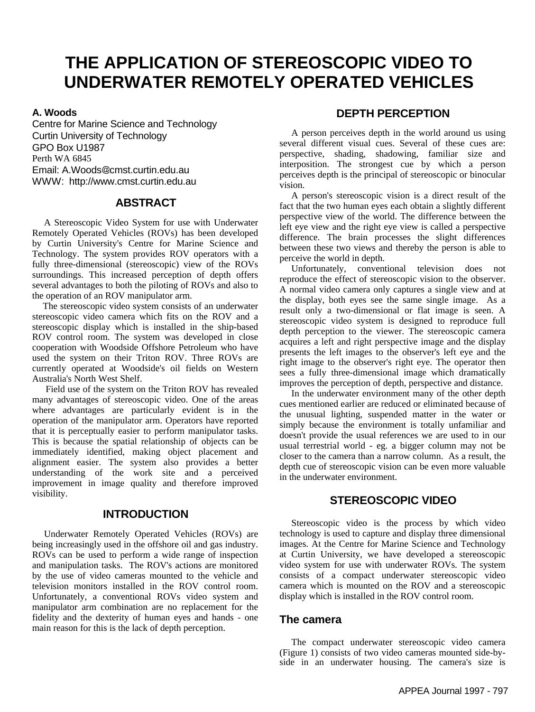# **THE APPLICATION OF STEREOSCOPIC VIDEO TO UNDERWATER REMOTELY OPERATED VEHICLES**

#### **A. Woods**

Centre for Marine Science and Technology Curtin University of Technology GPO Box U1987 Perth WA 6845 Email: A.Woods@cmst.curtin.edu.au WWW: http://www.cmst.curtin.edu.au

#### **ABSTRACT**

 A Stereoscopic Video System for use with Underwater Remotely Operated Vehicles (ROVs) has been developed by Curtin University's Centre for Marine Science and Technology. The system provides ROV operators with a fully three-dimensional (stereoscopic) view of the ROVs surroundings. This increased perception of depth offers several advantages to both the piloting of ROVs and also to the operation of an ROV manipulator arm.

 The stereoscopic video system consists of an underwater stereoscopic video camera which fits on the ROV and a stereoscopic display which is installed in the ship-based ROV control room. The system was developed in close cooperation with Woodside Offshore Petroleum who have used the system on their Triton ROV. Three ROVs are currently operated at Woodside's oil fields on Western Australia's North West Shelf.

 Field use of the system on the Triton ROV has revealed many advantages of stereoscopic video. One of the areas where advantages are particularly evident is in the operation of the manipulator arm. Operators have reported that it is perceptually easier to perform manipulator tasks. This is because the spatial relationship of objects can be immediately identified, making object placement and alignment easier. The system also provides a better understanding of the work site and a perceived improvement in image quality and therefore improved visibility.

#### **INTRODUCTION**

 Underwater Remotely Operated Vehicles (ROVs) are being increasingly used in the offshore oil and gas industry. ROVs can be used to perform a wide range of inspection and manipulation tasks. The ROV's actions are monitored by the use of video cameras mounted to the vehicle and television monitors installed in the ROV control room. Unfortunately, a conventional ROVs video system and manipulator arm combination are no replacement for the fidelity and the dexterity of human eyes and hands - one main reason for this is the lack of depth perception.

## **DEPTH PERCEPTION**

 A person perceives depth in the world around us using several different visual cues. Several of these cues are: perspective, shading, shadowing, familiar size and interposition. The strongest cue by which a person perceives depth is the principal of stereoscopic or binocular vision.

 A person's stereoscopic vision is a direct result of the fact that the two human eyes each obtain a slightly different perspective view of the world. The difference between the left eye view and the right eye view is called a perspective difference. The brain processes the slight differences between these two views and thereby the person is able to perceive the world in depth.

 Unfortunately, conventional television does not reproduce the effect of stereoscopic vision to the observer. A normal video camera only captures a single view and at the display, both eyes see the same single image. As a result only a two-dimensional or flat image is seen. A stereoscopic video system is designed to reproduce full depth perception to the viewer. The stereoscopic camera acquires a left and right perspective image and the display presents the left images to the observer's left eye and the right image to the observer's right eye. The operator then sees a fully three-dimensional image which dramatically improves the perception of depth, perspective and distance.

 In the underwater environment many of the other depth cues mentioned earlier are reduced or eliminated because of the unusual lighting, suspended matter in the water or simply because the environment is totally unfamiliar and doesn't provide the usual references we are used to in our usual terrestrial world - eg. a bigger column may not be closer to the camera than a narrow column. As a result, the depth cue of stereoscopic vision can be even more valuable in the underwater environment.

#### **STEREOSCOPIC VIDEO**

 Stereoscopic video is the process by which video technology is used to capture and display three dimensional images. At the Centre for Marine Science and Technology at Curtin University, we have developed a stereoscopic video system for use with underwater ROVs. The system consists of a compact underwater stereoscopic video camera which is mounted on the ROV and a stereoscopic display which is installed in the ROV control room.

#### **The camera**

 The compact underwater stereoscopic video camera (Figure 1) consists of two video cameras mounted side-byside in an underwater housing. The camera's size is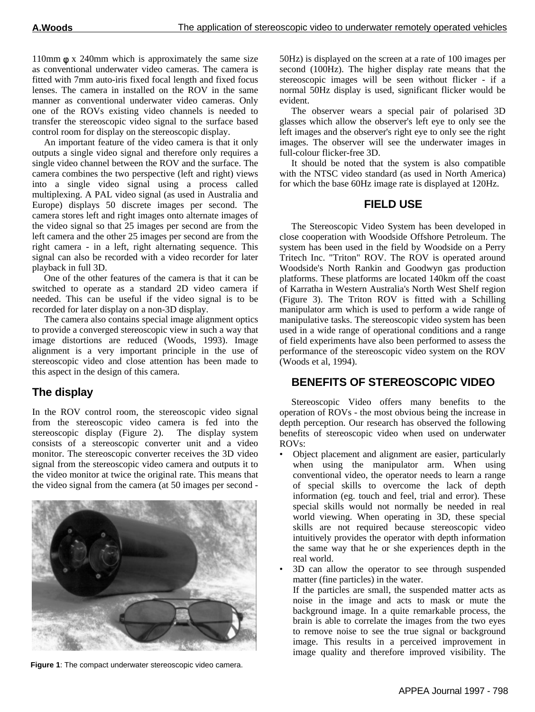110mm  $\phi$  x 240mm which is approximately the same size as conventional underwater video cameras. The camera is fitted with 7mm auto-iris fixed focal length and fixed focus lenses. The camera in installed on the ROV in the same manner as conventional underwater video cameras. Only one of the ROVs existing video channels is needed to transfer the stereoscopic video signal to the surface based control room for display on the stereoscopic display.

 An important feature of the video camera is that it only outputs a single video signal and therefore only requires a single video channel between the ROV and the surface. The camera combines the two perspective (left and right) views into a single video signal using a process called multiplexing. A PAL video signal (as used in Australia and Europe) displays 50 discrete images per second. The camera stores left and right images onto alternate images of the video signal so that 25 images per second are from the left camera and the other 25 images per second are from the right camera - in a left, right alternating sequence. This signal can also be recorded with a video recorder for later playback in full 3D.

 One of the other features of the camera is that it can be switched to operate as a standard 2D video camera if needed. This can be useful if the video signal is to be recorded for later display on a non-3D display.

 The camera also contains special image alignment optics to provide a converged stereoscopic view in such a way that image distortions are reduced (Woods, 1993). Image alignment is a very important principle in the use of stereoscopic video and close attention has been made to this aspect in the design of this camera.

# **The display**

In the ROV control room, the stereoscopic video signal from the stereoscopic video camera is fed into the stereoscopic display (Figure 2). The display system consists of a stereoscopic converter unit and a video monitor. The stereoscopic converter receives the 3D video signal from the stereoscopic video camera and outputs it to the video monitor at twice the original rate. This means that the video signal from the camera (at 50 images per second -



**Figure 1**: The compact underwater stereoscopic video camera.

50Hz) is displayed on the screen at a rate of 100 images per second (100Hz). The higher display rate means that the stereoscopic images will be seen without flicker - if a normal 50Hz display is used, significant flicker would be evident.

 The observer wears a special pair of polarised 3D glasses which allow the observer's left eye to only see the left images and the observer's right eye to only see the right images. The observer will see the underwater images in full-colour flicker-free 3D.

 It should be noted that the system is also compatible with the NTSC video standard (as used in North America) for which the base 60Hz image rate is displayed at 120Hz.

#### **FIELD USE**

 The Stereoscopic Video System has been developed in close cooperation with Woodside Offshore Petroleum. The system has been used in the field by Woodside on a Perry Tritech Inc. "Triton" ROV. The ROV is operated around Woodside's North Rankin and Goodwyn gas production platforms. These platforms are located 140km off the coast of Karratha in Western Australia's North West Shelf region (Figure 3). The Triton ROV is fitted with a Schilling manipulator arm which is used to perform a wide range of manipulative tasks. The stereoscopic video system has been used in a wide range of operational conditions and a range of field experiments have also been performed to assess the performance of the stereoscopic video system on the ROV (Woods et al, 1994).

## **BENEFITS OF STEREOSCOPIC VIDEO**

 Stereoscopic Video offers many benefits to the operation of ROVs - the most obvious being the increase in depth perception. Our research has observed the following benefits of stereoscopic video when used on underwater ROVs:

- Object placement and alignment are easier, particularly when using the manipulator arm. When using conventional video, the operator needs to learn a range of special skills to overcome the lack of depth information (eg. touch and feel, trial and error). These special skills would not normally be needed in real world viewing. When operating in 3D, these special skills are not required because stereoscopic video intuitively provides the operator with depth information the same way that he or she experiences depth in the real world.
- 3D can allow the operator to see through suspended matter (fine particles) in the water.

If the particles are small, the suspended matter acts as noise in the image and acts to mask or mute the background image. In a quite remarkable process, the brain is able to correlate the images from the two eyes to remove noise to see the true signal or background image. This results in a perceived improvement in image quality and therefore improved visibility. The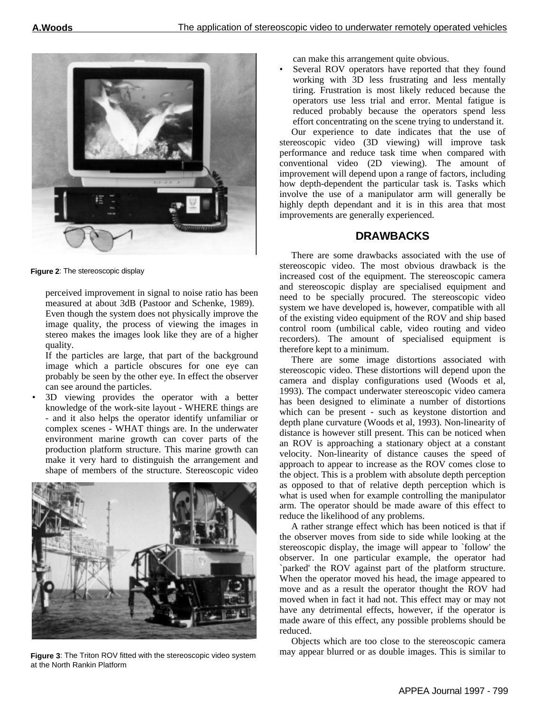

**Figure 2**: The stereoscopic display

perceived improvement in signal to noise ratio has been measured at about 3dB (Pastoor and Schenke, 1989). Even though the system does not physically improve the image quality, the process of viewing the images in stereo makes the images look like they are of a higher quality.

If the particles are large, that part of the background image which a particle obscures for one eye can probably be seen by the other eye. In effect the observer can see around the particles.

• 3D viewing provides the operator with a better knowledge of the work-site layout - WHERE things are - and it also helps the operator identify unfamiliar or complex scenes - WHAT things are. In the underwater environment marine growth can cover parts of the production platform structure. This marine growth can make it very hard to distinguish the arrangement and shape of members of the structure. Stereoscopic video



**Figure 3**: The Triton ROV fitted with the stereoscopic video system at the North Rankin Platform

can make this arrangement quite obvious.

Several ROV operators have reported that they found working with 3D less frustrating and less mentally tiring. Frustration is most likely reduced because the operators use less trial and error. Mental fatigue is reduced probably because the operators spend less effort concentrating on the scene trying to understand it.

 Our experience to date indicates that the use of stereoscopic video (3D viewing) will improve task performance and reduce task time when compared with conventional video (2D viewing). The amount of improvement will depend upon a range of factors, including how depth-dependent the particular task is. Tasks which involve the use of a manipulator arm will generally be highly depth dependant and it is in this area that most improvements are generally experienced.

## **DRAWBACKS**

 There are some drawbacks associated with the use of stereoscopic video. The most obvious drawback is the increased cost of the equipment. The stereoscopic camera and stereoscopic display are specialised equipment and need to be specially procured. The stereoscopic video system we have developed is, however, compatible with all of the existing video equipment of the ROV and ship based control room (umbilical cable, video routing and video recorders). The amount of specialised equipment is therefore kept to a minimum.

 There are some image distortions associated with stereoscopic video. These distortions will depend upon the camera and display configurations used (Woods et al, 1993). The compact underwater stereoscopic video camera has been designed to eliminate a number of distortions which can be present - such as keystone distortion and depth plane curvature (Woods et al, 1993). Non-linearity of distance is however still present. This can be noticed when an ROV is approaching a stationary object at a constant velocity. Non-linearity of distance causes the speed of approach to appear to increase as the ROV comes close to the object. This is a problem with absolute depth perception as opposed to that of relative depth perception which is what is used when for example controlling the manipulator arm. The operator should be made aware of this effect to reduce the likelihood of any problems.

 A rather strange effect which has been noticed is that if the observer moves from side to side while looking at the stereoscopic display, the image will appear to `follow' the observer. In one particular example, the operator had `parked' the ROV against part of the platform structure. When the operator moved his head, the image appeared to move and as a result the operator thought the ROV had moved when in fact it had not. This effect may or may not have any detrimental effects, however, if the operator is made aware of this effect, any possible problems should be reduced.

 Objects which are too close to the stereoscopic camera may appear blurred or as double images. This is similar to